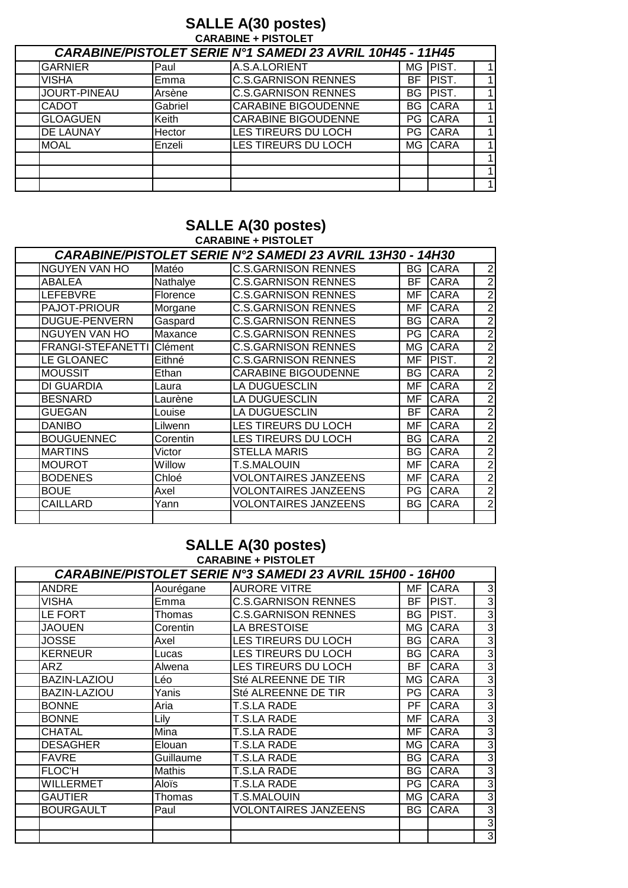# **SALLE A(30 postes)**<br>CARABINE + PISTOLET

| <b>CARABINE/PISTOLET SERIE N°1 SAMEDI 23 AVRIL 10H45 - 11H45</b> |         |                            |     |               |                |  |  |
|------------------------------------------------------------------|---------|----------------------------|-----|---------------|----------------|--|--|
| <b>GARNIER</b>                                                   | Paul    | A.S.A.LORIENT              | MG  | PIST.         | $\mathbf 1$    |  |  |
| <b>VISHA</b>                                                     | Emma    | <b>C.S.GARNISON RENNES</b> | BF. | <b>IPIST.</b> | 1              |  |  |
| JOURT-PINEAU                                                     | Arsène  | <b>C.S.GARNISON RENNES</b> | BG. | <b>PIST.</b>  | $\mathbf 1$    |  |  |
| <b>CADOT</b>                                                     | Gabriel | <b>CARABINE BIGOUDENNE</b> | BG  | <b>CARA</b>   | $\mathbf{1}$   |  |  |
| <b>GLOAGUEN</b>                                                  | Keith   | <b>CARABINE BIGOUDENNE</b> | PG. | <b>ICARA</b>  | 1              |  |  |
| <b>DE LAUNAY</b>                                                 | Hector  | LES TIREURS DU LOCH        | PG. | <b>CARA</b>   | 1              |  |  |
| <b>MOAL</b>                                                      | Enzeli  | LES TIREURS DU LOCH        | MG  | <b>CARA</b>   | 1 <sub>1</sub> |  |  |
|                                                                  |         |                            |     |               | $\mathbf 1$    |  |  |
|                                                                  |         |                            |     |               | 1              |  |  |
|                                                                  |         |                            |     |               | 1 <sub>1</sub> |  |  |

# **SALLE A(30 postes)**<br>CARABINE + PISTOLET

|                          |          | <b>CARABINE/PISTOLET SERIE N°2 SAMEDI 23 AVRIL 13H30 - 14H30</b> |           |             |                |
|--------------------------|----------|------------------------------------------------------------------|-----------|-------------|----------------|
| <b>NGUYEN VAN HO</b>     | Matéo    | <b>C.S.GARNISON RENNES</b>                                       | <b>BG</b> | <b>CARA</b> | $\overline{2}$ |
| <b>ABALEA</b>            | Nathalye | <b>C.S.GARNISON RENNES</b>                                       | BF.       | <b>CARA</b> | $\overline{2}$ |
| <b>LEFEBVRE</b>          | Florence | <b>C.S.GARNISON RENNES</b>                                       | MF        | <b>CARA</b> | $\overline{2}$ |
| PAJOT-PRIOUR             | Morgane  | <b>C.S.GARNISON RENNES</b>                                       | MF        | <b>CARA</b> | $\overline{2}$ |
| <b>DUGUE-PENVERN</b>     | Gaspard  | <b>C.S.GARNISON RENNES</b>                                       | BG        | <b>CARA</b> | $\overline{2}$ |
| <b>NGUYEN VAN HO</b>     | Maxance  | <b>C.S.GARNISON RENNES</b>                                       | PG        | <b>CARA</b> | $\overline{2}$ |
| <b>FRANGI-STEFANETTI</b> | Clément  | <b>C.S.GARNISON RENNES</b>                                       | MG.       | <b>CARA</b> | $\overline{2}$ |
| LE GLOANEC               | Eithné   | <b>C.S.GARNISON RENNES</b>                                       | MF        | PIST.       | $\overline{2}$ |
| <b>MOUSSIT</b>           | Ethan    | CARABINE BIGOUDENNE                                              | BG        | <b>CARA</b> | $\overline{2}$ |
| DI GUARDIA               | Laura    | LA DUGUESCLIN                                                    | MF        | <b>CARA</b> | $\overline{2}$ |
| <b>BESNARD</b>           | Laurène  | <b>LA DUGUESCLIN</b>                                             | MF        | <b>CARA</b> | $\overline{2}$ |
| <b>GUEGAN</b>            | Louise   | <b>LA DUGUESCLIN</b>                                             | BF        | CARA        | $\overline{2}$ |
| <b>DANIBO</b>            | Lilwenn  | LES TIREURS DU LOCH                                              | МF        | <b>CARA</b> | $\overline{2}$ |
| <b>BOUGUENNEC</b>        | Corentin | LES TIREURS DU LOCH                                              | BG        | <b>CARA</b> | $\overline{2}$ |
| <b>MARTINS</b>           | Victor   | <b>STELLA MARIS</b>                                              | BG        | <b>CARA</b> | $\overline{2}$ |
| <b>MOUROT</b>            | Willow   | <b>T.S.MALOUIN</b>                                               | MF        | <b>CARA</b> | $\overline{2}$ |
| <b>BODENES</b>           | Chloé    | <b>VOLONTAIRES JANZEENS</b>                                      | MF        | <b>CARA</b> | $\overline{2}$ |
| <b>BOUE</b>              | Axel     | <b>VOLONTAIRES JANZEENS</b>                                      | PG        | <b>CARA</b> | $\overline{2}$ |
| CAILLARD                 | Yann     | VOLONTAIRES JANZEENS                                             | BG        | <b>CARA</b> | $\overline{2}$ |
|                          |          |                                                                  |           |             |                |

# **SALLE A(30 postes)**<br>CARABINE + PISTOLET

|                     |           | <b>CARABINE/PISTOLET SERIE N°3 SAMEDI 23 AVRIL 15H00 - 16H00</b> |      |             |                |
|---------------------|-----------|------------------------------------------------------------------|------|-------------|----------------|
| <b>ANDRE</b>        | Aourégane | <b>AURORE VITRE</b>                                              | MF   | <b>CARA</b> | $\mathbf{3}$   |
| VISHA               | Emma      | <b>C.S.GARNISON RENNES</b>                                       | BF   | PIST.       | 3              |
| LE FORT             | Thomas    | <b>C.S.GARNISON RENNES</b>                                       | BG   | PIST.       | 3              |
| <b>JAOUEN</b>       | Corentin  | LA BRESTOISE                                                     | МG   | <b>CARA</b> | $\overline{3}$ |
| <b>JOSSE</b>        | Axel      | <b>LES TIREURS DU LOCH</b>                                       | BG.  | <b>CARA</b> | $\mathbf{3}$   |
| <b>KERNEUR</b>      | Lucas     | <b>LES TIREURS DU LOCH</b>                                       | BG I | <b>CARA</b> | $\overline{3}$ |
| ARZ                 | Alwena    | LES TIREURS DU LOCH                                              | BF.  | <b>CARA</b> | 3              |
| <b>BAZIN-LAZIOU</b> | Léo       | Sté ALREENNE DE TIR                                              | МG   | <b>CARA</b> | 3              |
| <b>BAZIN-LAZIOU</b> | Yanis     | Sté ALREENNE DE TIR                                              | PG.  | <b>CARA</b> | 3              |
| <b>BONNE</b>        | Aria      | T.S.LA RADE                                                      | PF.  | <b>CARA</b> | $\overline{3}$ |
| <b>BONNE</b>        | Lily      | <b>T.S.LA RADE</b>                                               | МF   | <b>CARA</b> | 3              |
| <b>CHATAL</b>       | Mina      | T.S.LA RADE                                                      | МF   | <b>CARA</b> | 3              |
| <b>DESAGHER</b>     | Elouan    | <b>T.S.LA RADE</b>                                               | МG   | <b>CARA</b> | 3              |
| <b>FAVRE</b>        | Guillaume | <b>T.S.LA RADE</b>                                               | BG.  | <b>CARA</b> | 3              |
| <b>FLOC'H</b>       | Mathis    | T.S.LA RADE                                                      | BG.  | <b>CARA</b> | $\mathbf{3}$   |
| WILLERMET           | Aloïs     | <b>T.S.LA RADE</b>                                               | PG   | <b>CARA</b> | 3              |
| <b>GAUTIER</b>      | Thomas    | T.S.MALOUIN                                                      | MG.  | <b>CARA</b> | 3              |
| <b>BOURGAULT</b>    | Paul      | <b>VOLONTAIRES JANZEENS</b>                                      | BG   | CARA        | 3              |
|                     |           |                                                                  |      |             | 3              |
|                     |           |                                                                  |      |             | 3              |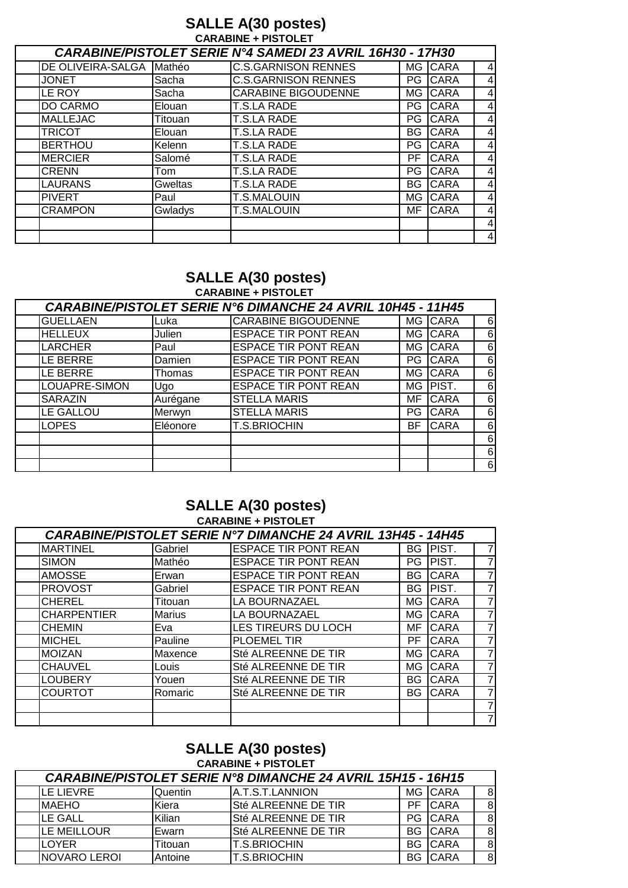### **SALLE A(30 postes) CARABINE + PISTOLET**

|                   |         | <b>CARABINE/PISTOLET SERIE N°4 SAMEDI 23 AVRIL 16H30 - 17H30</b> |     |             |                |
|-------------------|---------|------------------------------------------------------------------|-----|-------------|----------------|
| DE OLIVEIRA-SALGA | Mathéo  | <b>C.S.GARNISON RENNES</b>                                       |     | MG CARA     | 4              |
| <b>JONET</b>      | Sacha   | <b>C.S.GARNISON RENNES</b>                                       |     | PG CARA     | 4              |
| LE ROY            | Sacha   | <b>CARABINE BIGOUDENNE</b>                                       |     | MG CARA     | $\overline{4}$ |
| DO CARMO          | Elouan  | T.S.LA RADE                                                      | PG. | <b>CARA</b> | 4              |
| <b>MALLEJAC</b>   | Titouan | <b>T.S.LA RADE</b>                                               |     | PG CARA     | 4              |
| <b>TRICOT</b>     | Elouan  | <b>T.S.LA RADE</b>                                               | BG  | <b>CARA</b> | 4              |
| <b>BERTHOU</b>    | Kelenn  | <b>T.S.LA RADE</b>                                               | PG. | <b>CARA</b> | 4              |
| <b>MERCIER</b>    | Salomé  | <b>T.S.LA RADE</b>                                               | PF  | <b>CARA</b> | 4              |
| <b>CRENN</b>      | Tom     | <b>T.S.LA RADE</b>                                               | PG. | <b>CARA</b> | 4              |
| <b>LAURANS</b>    | Gweltas | <b>T.S.LA RADE</b>                                               | BG  | <b>CARA</b> | 4              |
| <b>PIVERT</b>     | Paul    | <b>T.S.MALOUIN</b>                                               |     | MG CARA     | 4              |
| <b>CRAMPON</b>    | Gwladys | <b>T.S.MALOUIN</b>                                               | MF  | <b>CARA</b> | 4              |
|                   |         |                                                                  |     |             | 4              |
|                   |         |                                                                  |     |             | 4              |

#### **SALLE A(30 postes) CARABINE + PISTOLET**

|                 |          | CARABINE/PISTOLET SERIE N°6 DIMANCHE 24 AVRIL 10H45 - 11H45 |     |             |   |
|-----------------|----------|-------------------------------------------------------------|-----|-------------|---|
| <b>GUELLAEN</b> | Luka     | <b>CARABINE BIGOUDENNE</b>                                  |     | MG CARA     | 6 |
| <b>HELLEUX</b>  | Julien   | <b>ESPACE TIR PONT REAN</b>                                 |     | MG CARA     | 6 |
| <b>LARCHER</b>  | Paul     | <b>ESPACE TIR PONT REAN</b>                                 |     | MG CARA     | 6 |
| LE BERRE        | Damien   | <b>ESPACE TIR PONT REAN</b>                                 |     | PG CARA     | 6 |
| LE BERRE        | Thomas   | <b>ESPACE TIR PONT REAN</b>                                 |     | MG CARA     | 6 |
| LOUAPRE-SIMON   | Ugo      | <b>ESPACE TIR PONT REAN</b>                                 |     | MG PIST.    | 6 |
| <b>SARAZIN</b>  | Aurégane | <b>STELLA MARIS</b>                                         | MF  | <b>CARA</b> | 6 |
| LE GALLOU       | Merwyn   | <b>STELLA MARIS</b>                                         | PG  | <b>CARA</b> | 6 |
| <b>LOPES</b>    | Eléonore | <b>T.S.BRIOCHIN</b>                                         | BF. | <b>CARA</b> | 6 |
|                 |          |                                                             |     |             | 6 |
|                 |          |                                                             |     |             | 6 |
|                 |          |                                                             |     |             | 6 |

#### **SALLE A(30 postes) CARABINE + PISTOLET**

|                    |               | <b>CARABINE/PISTOLET SERIE N°7 DIMANCHE 24 AVRIL 13H45 - 14H45</b> |      |             |                |
|--------------------|---------------|--------------------------------------------------------------------|------|-------------|----------------|
| <b>MARTINEL</b>    | Gabriel       | <b>ESPACE TIR PONT REAN</b>                                        |      | BG PIST.    | $\overline{7}$ |
| <b>SIMON</b>       | Mathéo        | <b>ESPACE TIR PONT REAN</b>                                        | PG I | PIST.       | 7              |
| <b>AMOSSE</b>      | Erwan         | <b>ESPACE TIR PONT REAN</b>                                        | BG I | <b>CARA</b> | 7              |
| <b>PROVOST</b>     | Gabriel       | <b>ESPACE TIR PONT REAN</b>                                        | BG I | PIST.       | 7              |
| <b>CHEREL</b>      | Titouan       | LA BOURNAZAEL                                                      | MG I | <b>CARA</b> | 7              |
| <b>CHARPENTIER</b> | <b>Marius</b> | LA BOURNAZAEL                                                      | MG I | <b>CARA</b> | 7              |
| <b>CHEMIN</b>      | Eva           | LES TIREURS DU LOCH                                                | MF   | <b>CARA</b> | 7              |
| <b>MICHEL</b>      | Pauline       | PLOEMEL TIR                                                        | PF   | <b>CARA</b> | 7              |
| <b>MOIZAN</b>      | Maxence       | Sté ALREENNE DE TIR                                                | MG   | <b>CARA</b> | 7              |
| <b>CHAUVEL</b>     | Louis         | Sté ALREENNE DE TIR                                                | MG I | <b>CARA</b> | 7              |
| <b>LOUBERY</b>     | Youen         | Sté ALREENNE DE TIR                                                | BG.  | <b>CARA</b> | $\overline{7}$ |
| <b>COURTOT</b>     | Romaric       | Sté ALREENNE DE TIR                                                | BG.  | <b>CARA</b> | 7              |
|                    |               |                                                                    |      |             | 7              |
|                    |               |                                                                    |      |             | $\overline{7}$ |

#### **SALLE A(30 postes) CARABINE + PISTOLET**

| <b>CARABINE/PISTOLET SERIE N°8 DIMANCHE 24 AVRIL 15H15 - 16H15</b> |         |                         |           |                |    |
|--------------------------------------------------------------------|---------|-------------------------|-----------|----------------|----|
| LE LIEVRE                                                          | Quentin | <b>JA.T.S.T.LANNION</b> |           | MG CARA        | 8  |
| <b>MAEHO</b>                                                       | Kiera   | Sté ALREENNE DE TIR     | <b>PF</b> | <b>CARA</b>    | 8  |
| <b>LE GALL</b>                                                     | Kilian  | Sté ALREENNE DE TIR     |           | PG CARA        | 8  |
| <b>LE MEILLOUR</b>                                                 | Ewarn   | Sté ALREENNE DE TIR     |           | <b>BG CARA</b> | -8 |
| <b>LOYER</b>                                                       | Titouan | <b>T.S.BRIOCHIN</b>     |           | BG CARA        | -8 |
| NOVARO LEROI                                                       | Antoine | <b>IT.S.BRIOCHIN</b>    |           | <b>BG</b> CARA | 8  |